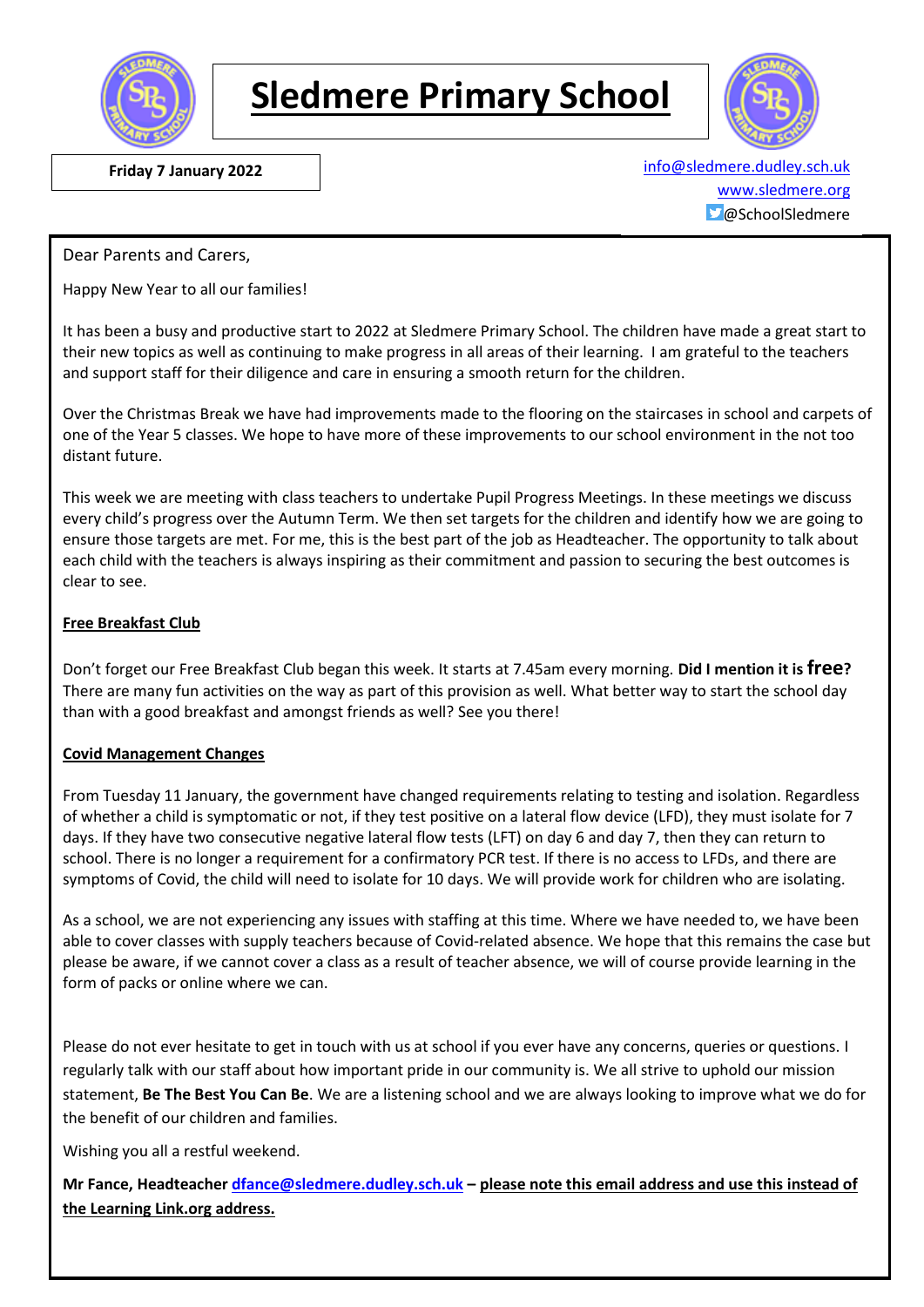

# **Sledmere Primary School**



 **Friday 7 January 2022** [info@sledmere.dudley.sch.uk](mailto:info@sledmere.dudley.sch.uk) [www.sledmere.org](http://www.sledmere.org/)  $\Box$ @SchoolSledmere

Dear Parents and Carers,

Happy New Year to all our families!

It has been a busy and productive start to 2022 at Sledmere Primary School. The children have made a great start to their new topics as well as continuing to make progress in all areas of their learning. I am grateful to the teachers and support staff for their diligence and care in ensuring a smooth return for the children.

Over the Christmas Break we have had improvements made to the flooring on the staircases in school and carpets of one of the Year 5 classes. We hope to have more of these improvements to our school environment in the not too distant future.

This week we are meeting with class teachers to undertake Pupil Progress Meetings. In these meetings we discuss every child's progress over the Autumn Term. We then set targets for the children and identify how we are going to ensure those targets are met. For me, this is the best part of the job as Headteacher. The opportunity to talk about each child with the teachers is always inspiring as their commitment and passion to securing the best outcomes is clear to see.

#### **Free Breakfast Club**

Don't forget our Free Breakfast Club began this week. It starts at 7.45am every morning. **Did I mention it is free?** There are many fun activities on the way as part of this provision as well. What better way to start the school day than with a good breakfast and amongst friends as well? See you there!

#### **Covid Management Changes**

From Tuesday 11 January, the government have changed requirements relating to testing and isolation. Regardless of whether a child is symptomatic or not, if they test positive on a lateral flow device (LFD), they must isolate for 7 days. If they have two consecutive negative lateral flow tests (LFT) on day 6 and day 7, then they can return to school. There is no longer a requirement for a confirmatory PCR test. If there is no access to LFDs, and there are symptoms of Covid, the child will need to isolate for 10 days. We will provide work for children who are isolating.

As a school, we are not experiencing any issues with staffing at this time. Where we have needed to, we have been able to cover classes with supply teachers because of Covid-related absence. We hope that this remains the case but please be aware, if we cannot cover a class as a result of teacher absence, we will of course provide learning in the form of packs or online where we can.

Please do not ever hesitate to get in touch with us at school if you ever have any concerns, queries or questions. I regularly talk with our staff about how important pride in our community is. We all strive to uphold our mission statement, **Be The Best You Can Be**. We are a listening school and we are always looking to improve what we do for the benefit of our children and families.

Wishing you all a restful weekend.

**Mr Fance, Headteacher [dfance@sledmere.dudley.sch.uk](mailto:dfance@sledmere.dudley.sch.uk) – please note this email address and use this instead of the Learning Link.org address.**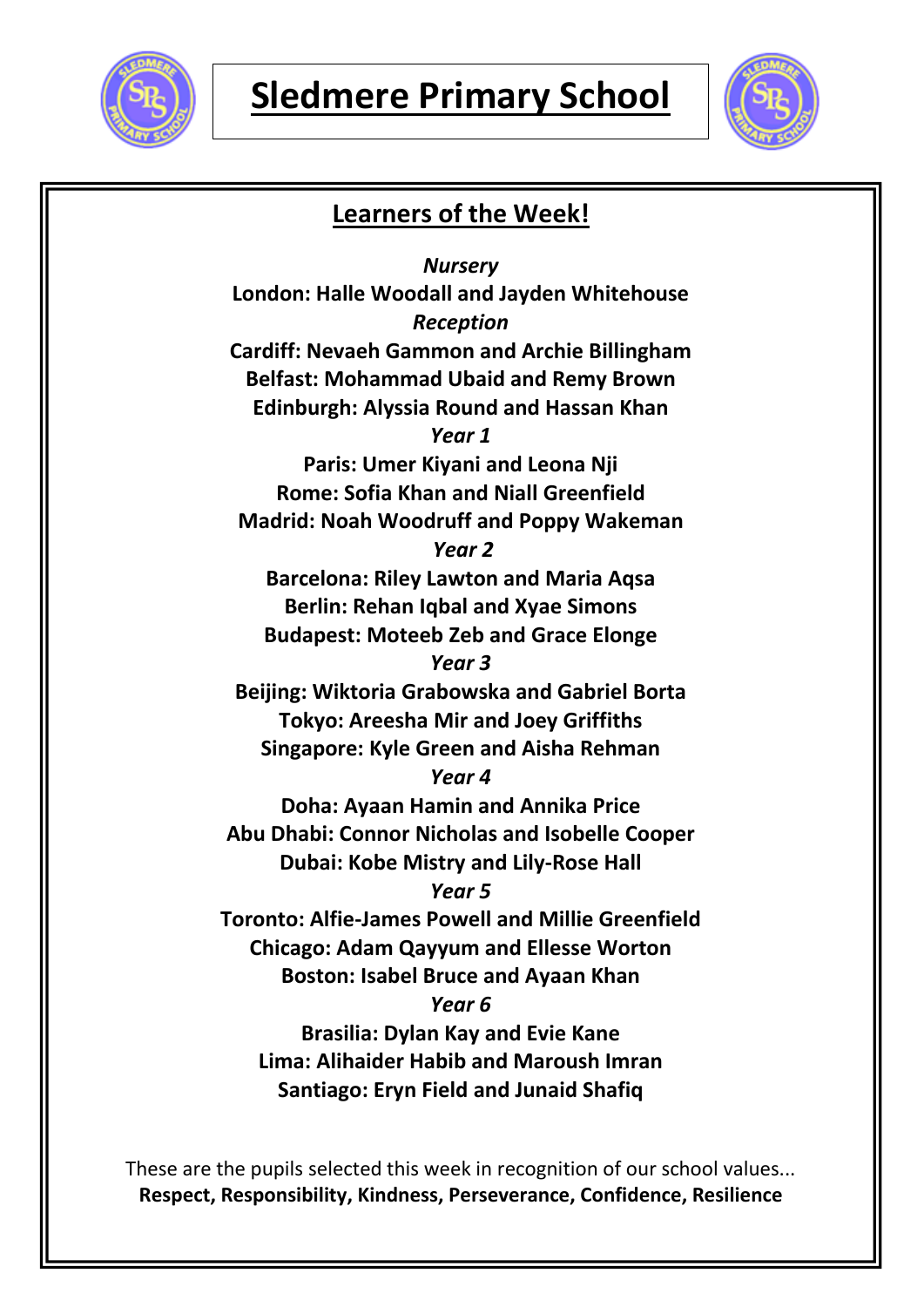



### **Learners of the Week!**

*Nursery* **London: Halle Woodall and Jayden Whitehouse** *Reception* **Cardiff: Nevaeh Gammon and Archie Billingham Belfast: Mohammad Ubaid and Remy Brown Edinburgh: Alyssia Round and Hassan Khan** *Year 1* **Paris: Umer Kiyani and Leona Nji Rome: Sofia Khan and Niall Greenfield Madrid: Noah Woodruff and Poppy Wakeman** *Year 2* **Barcelona: Riley Lawton and Maria Aqsa Berlin: Rehan Iqbal and Xyae Simons Budapest: Moteeb Zeb and Grace Elonge** *Year 3* **Beijing: Wiktoria Grabowska and Gabriel Borta Tokyo: Areesha Mir and Joey Griffiths Singapore: Kyle Green and Aisha Rehman** *Year 4* **Doha: Ayaan Hamin and Annika Price Abu Dhabi: Connor Nicholas and Isobelle Cooper Dubai: Kobe Mistry and Lily-Rose Hall** *Year 5* **Toronto: Alfie-James Powell and Millie Greenfield Chicago: Adam Qayyum and Ellesse Worton Boston: Isabel Bruce and Ayaan Khan** *Year 6* **Brasilia: Dylan Kay and Evie Kane Lima: Alihaider Habib and Maroush Imran Santiago: Eryn Field and Junaid Shafiq**

These are the pupils selected this week in recognition of our school values... **Respect, Responsibility, Kindness, Perseverance, Confidence, Resilience**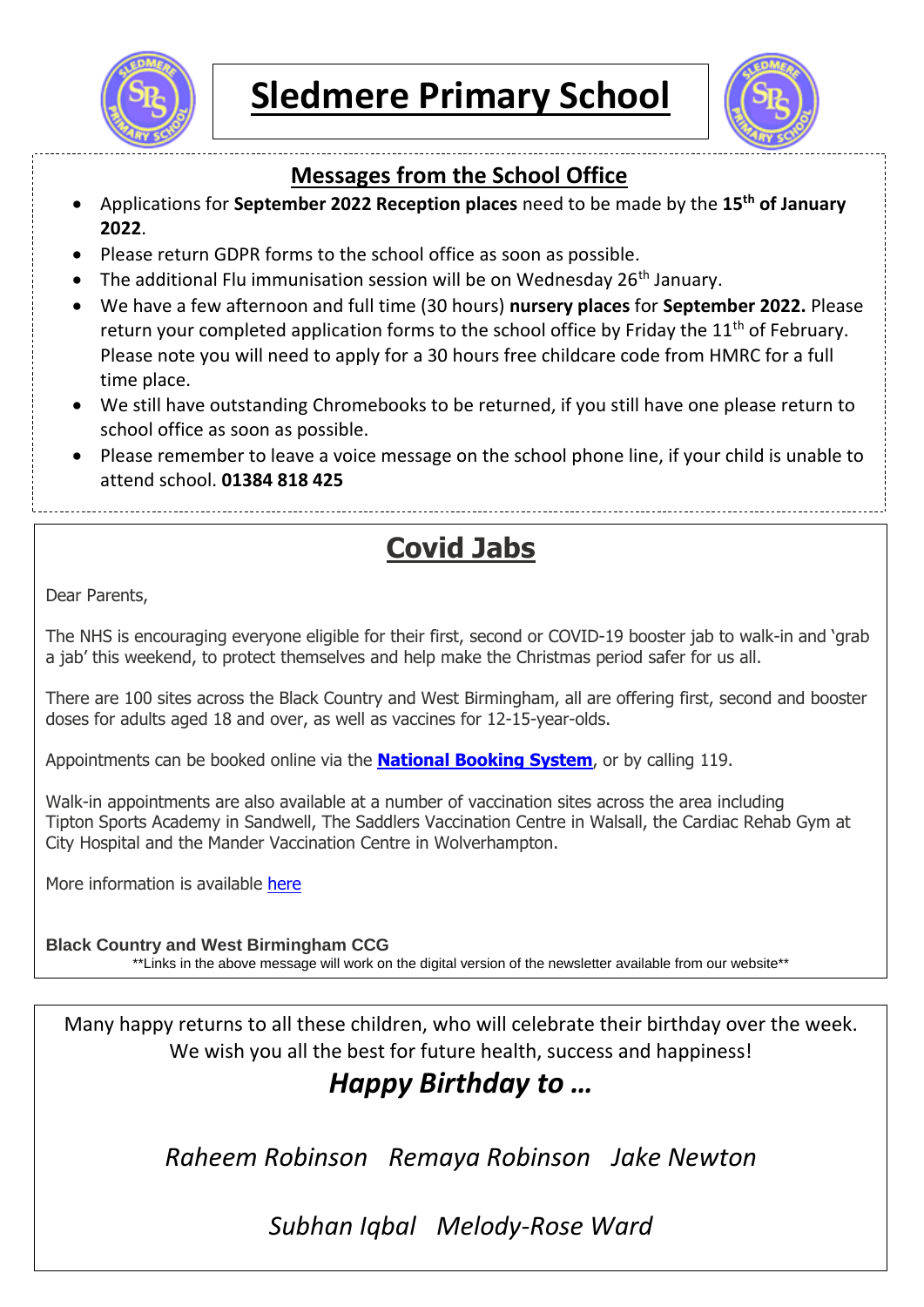



### **Messages from the School Office**

- Applications for **September 2022 Reception places** need to be made by the **15th of January 2022**.
- Please return GDPR forms to the school office as soon as possible.
- The additional Flu immunisation session will be on Wednesday  $26<sup>th</sup>$  January.
- We have a few afternoon and full time (30 hours) **nursery places** for **September 2022.** Please return your completed application forms to the school office by Friday the  $11<sup>th</sup>$  of February. Please note you will need to apply for a 30 hours free childcare code from HMRC for a full time place.
- We still have outstanding Chromebooks to be returned, if you still have one please return to school office as soon as possible.
- Please remember to leave a voice message on the school phone line, if your child is unable to attend school. **01384 818 425**

# **Covid Jabs**

Dear Parents,

The NHS is encouraging everyone eligible for their first, second or COVID-19 booster jab to walk-in and 'grab a jab' this weekend, to protect themselves and help make the Christmas period safer for us all.

There are 100 sites across the Black Country and West Birmingham, all are offering first, second and booster doses for adults aged 18 and over, as well as vaccines for 12-15-year-olds.

Appointments can be booked online via the **[National](https://www.nhs.uk/conditions/coronavirus-covid-19/coronavirus-vaccination/book-coronavirus-vaccination/) Booking System**, or by calling 119.

Walk-in appointments are also available at a number of vaccination sites across the area including Tipton Sports Academy in Sandwell, The Saddlers Vaccination Centre in Walsall, the Cardiac Rehab Gym at City Hospital and the Mander Vaccination Centre in Wolverhampton.

More information is available [here](https://www.blackcountryandwestbirmccg.nhs.uk/your-health-services/health-advice/covid-19-vaccination)

**Black Country and West Birmingham CCG**

\*\*Links in the above message will work on the digital version of the newsletter available from our website\*\*

Many happy returns to all these children, who will celebrate their birthday over the week. We wish you all the best for future health, success and happiness!

## *Happy Birthday to …*

*Raheem Robinson Remaya Robinson Jake Newton*

### *Subhan Iqbal Melody-Rose Ward*